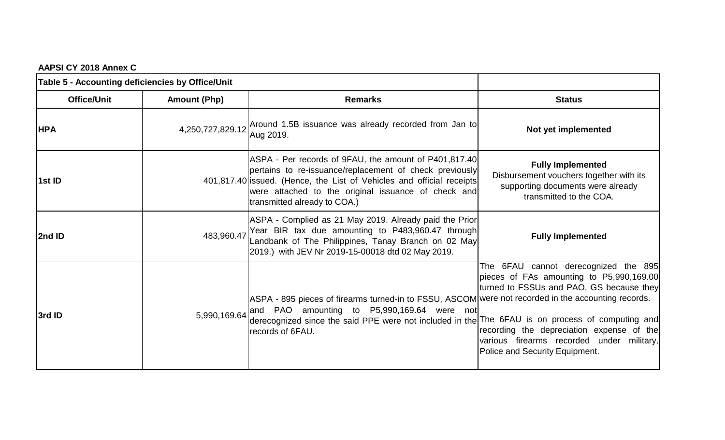|  |  |  | AAPSI CY 2018 Annex C |  |
|--|--|--|-----------------------|--|
|--|--|--|-----------------------|--|

| Table 5 - Accounting deficiencies by Office/Unit |                     |                                                                                                                                                                                                                                                                                  |                                                                                                                                                                                                                                                          |
|--------------------------------------------------|---------------------|----------------------------------------------------------------------------------------------------------------------------------------------------------------------------------------------------------------------------------------------------------------------------------|----------------------------------------------------------------------------------------------------------------------------------------------------------------------------------------------------------------------------------------------------------|
| <b>Office/Unit</b>                               | <b>Amount (Php)</b> | <b>Remarks</b>                                                                                                                                                                                                                                                                   | <b>Status</b>                                                                                                                                                                                                                                            |
| <b>HPA</b>                                       |                     | 4,250,727,829.12 Around 1.5B issuance was already recorded from Jan to<br>Aug 2019.                                                                                                                                                                                              | Not yet implemented                                                                                                                                                                                                                                      |
| 1st ID                                           |                     | ASPA - Per records of 9FAU, the amount of P401,817.40<br>pertains to re-issuance/replacement of check previously<br>401,817.40 issued. (Hence, the List of Vehicles and official receipts<br>were attached to the original issuance of check and<br>transmitted already to COA.) | <b>Fully Implemented</b><br>Disbursement vouchers together with its<br>supporting documents were already<br>transmitted to the COA.                                                                                                                      |
| 2nd ID                                           | 483,960.47          | ASPA - Complied as 21 May 2019. Already paid the Prior<br>Year BIR tax due amounting to P483,960.47 through<br>Landbank of The Philippines, Tanay Branch on 02 May<br>2019.) with JEV Nr 2019-15-00018 dtd 02 May 2019.                                                          | <b>Fully Implemented</b>                                                                                                                                                                                                                                 |
| 3rd ID                                           | 5,990,169.64        | ASPA - 895 pieces of firearms turned-in to FSSU, ASCOM were not recorded in the accounting records.<br>and PAO amounting to P5,990,169.64 were not<br>derecognized since the said PPE were not included in the The 6FAU is on process of computing and<br>records of 6FAU.       | The 6FAU cannot derecognized the 895<br>pieces of FAs amounting to P5,990,169.00<br>turned to FSSUs and PAO, GS because they<br>recording the depreciation expense of the<br>various firearms recorded under military,<br>Police and Security Equipment. |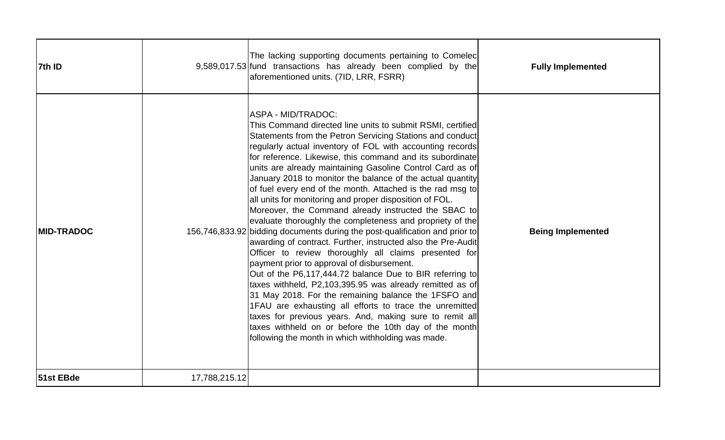| 7th ID             |               | The lacking supporting documents pertaining to Comelec<br>9,589,017.53 fund transactions has already been complied by the<br>aforementioned units. (7ID, LRR, FSRR)                                                                                                                                                                                                                                                                                                                                                                                                                                                                                                                                                                                                                                                                                                                                                                                                                                                                                                                                                                                                                                                                                                                                                          | <b>Fully Implemented</b> |
|--------------------|---------------|------------------------------------------------------------------------------------------------------------------------------------------------------------------------------------------------------------------------------------------------------------------------------------------------------------------------------------------------------------------------------------------------------------------------------------------------------------------------------------------------------------------------------------------------------------------------------------------------------------------------------------------------------------------------------------------------------------------------------------------------------------------------------------------------------------------------------------------------------------------------------------------------------------------------------------------------------------------------------------------------------------------------------------------------------------------------------------------------------------------------------------------------------------------------------------------------------------------------------------------------------------------------------------------------------------------------------|--------------------------|
| <b>IMID-TRADOC</b> |               | IASPA - MID/TRADOC:<br>This Command directed line units to submit RSMI, certified<br>Statements from the Petron Servicing Stations and conduct<br>regularly actual inventory of FOL with accounting records<br>for reference. Likewise, this command and its subordinate<br>units are already maintaining Gasoline Control Card as of<br>January 2018 to monitor the balance of the actual quantity<br>of fuel every end of the month. Attached is the rad msg to<br>all units for monitoring and proper disposition of FOL.<br>Moreover, the Command already instructed the SBAC to<br>evaluate thoroughly the completeness and propriety of the<br>156,746,833.92 bidding documents during the post-qualification and prior to<br>awarding of contract. Further, instructed also the Pre-Audit<br>Officer to review thoroughly all claims presented for<br>payment prior to approval of disbursement.<br>Out of the P6,117,444.72 balance Due to BIR referring to<br>taxes withheld, P2,103,395.95 was already remitted as of<br>31 May 2018. For the remaining balance the 1FSFO and<br>1FAU are exhausting all efforts to trace the unremitted<br>taxes for previous years. And, making sure to remit all<br>taxes withheld on or before the 10th day of the month<br>following the month in which withholding was made. | <b>Being Implemented</b> |
| 51st EBde          | 17,788,215.12 |                                                                                                                                                                                                                                                                                                                                                                                                                                                                                                                                                                                                                                                                                                                                                                                                                                                                                                                                                                                                                                                                                                                                                                                                                                                                                                                              |                          |